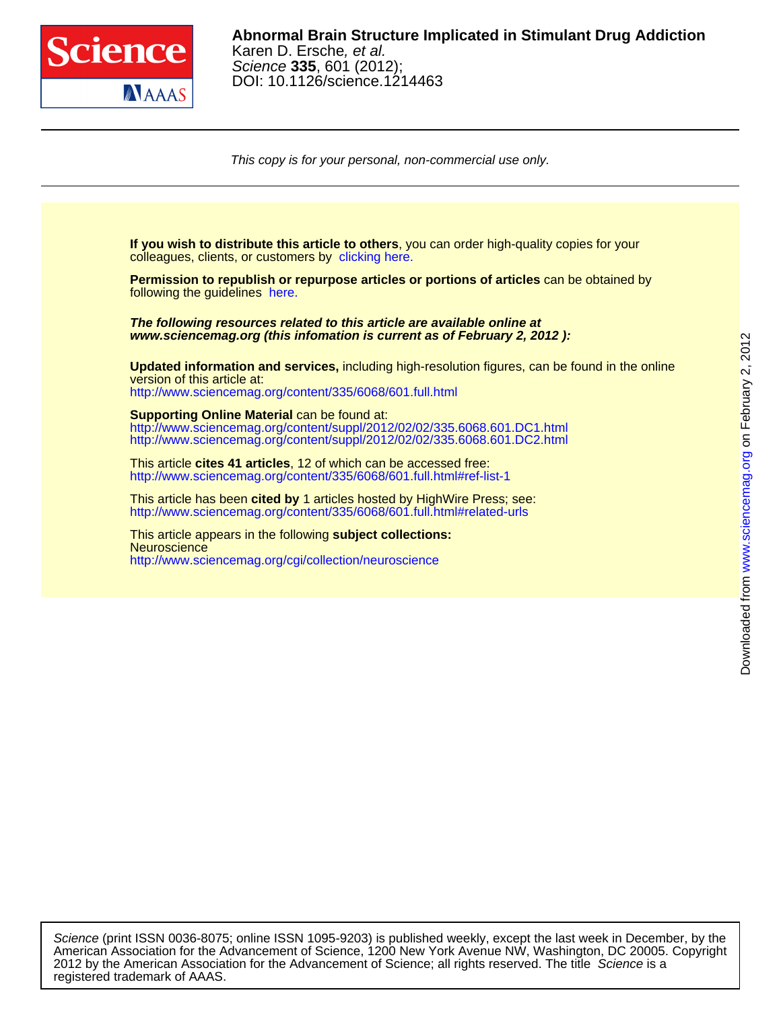

DOI: 10.1126/science.1214463 Science **335**, 601 (2012); Karen D. Ersche, et al. **Abnormal Brain Structure Implicated in Stimulant Drug Addiction**

This copy is for your personal, non-commercial use only.

colleagues, clients, or customers by [clicking here.](http://www.sciencemag.org/about/permissions.dtl) **If you wish to distribute this article to others**, you can order high-quality copies for your following the guidelines [here.](http://www.sciencemag.org/about/permissions.dtl) **Permission to republish or repurpose articles or portions of articles** can be obtained by **www.sciencemag.org (this infomation is current as of February 2, 2012 ): The following resources related to this article are available online at** <http://www.sciencemag.org/content/335/6068/601.full.html> version of this article at: **Updated information and services,** including high-resolution figures, can be found in the online http://www.sciencemag.org/content/suppl/2012/02/02/335.6068.601.DC2.html http://www.sciencemag.org/content/suppl/2012/02/02/335.6068.601.DC1.html **Supporting Online Material** can be found at: <http://www.sciencemag.org/content/335/6068/601.full.html#ref-list-1> This article **cites 41 articles**, 12 of which can be accessed free: <http://www.sciencemag.org/content/335/6068/601.full.html#related-urls> This article has been **cited by** 1 articles hosted by HighWire Press; see: <http://www.sciencemag.org/cgi/collection/neuroscience> **Neuroscience** This article appears in the following **subject collections:**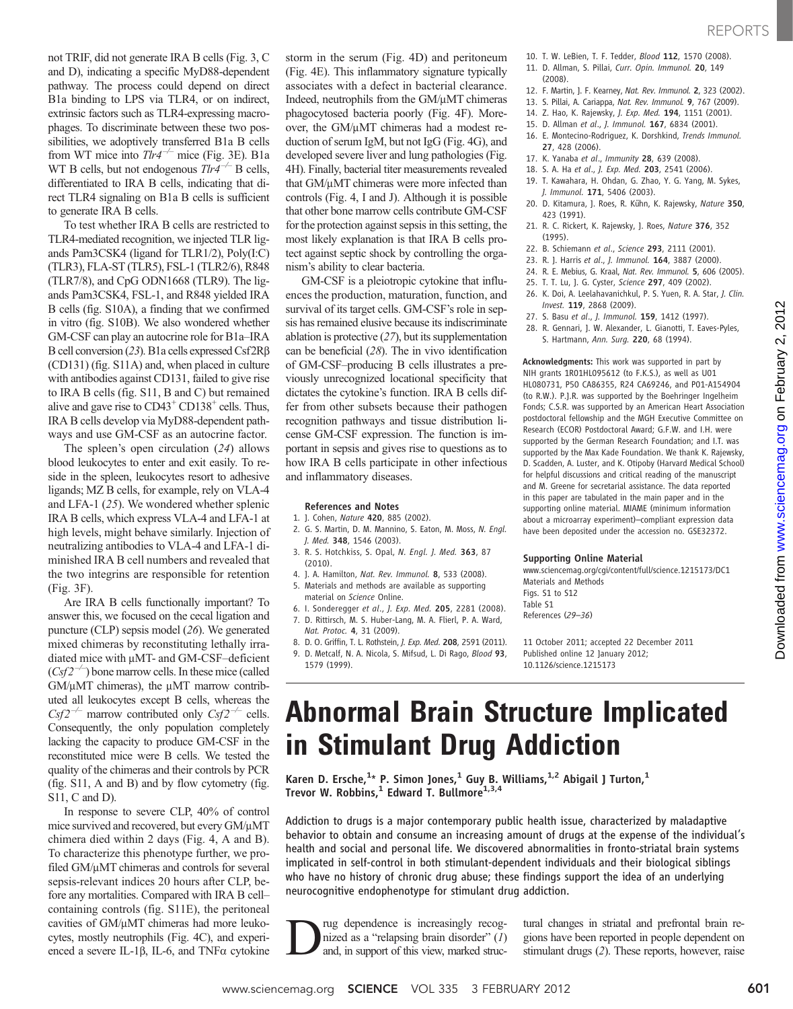on February 2, 2012

[www.sciencemag.org](http://www.sciencemag.org/)

Downloaded from www.sciencemag.org on February 2, 2012

Downloaded from

not TRIF, did not generate IRA B cells (Fig. 3, C and D), indicating a specific MyD88-dependent pathway. The process could depend on direct B1a binding to LPS via TLR4, or on indirect, extrinsic factors such as TLR4-expressing macrophages. To discriminate between these two possibilities, we adoptively transferred B1a B cells from WT mice into  $T\frac{dr}{r^2}$  mice (Fig. 3E). B1a WT B cells, but not endogenous  $Tlr4^{-/-}$  B cells, differentiated to IRA B cells, indicating that direct TLR4 signaling on B1a B cells is sufficient to generate IRA B cells.

To test whether IRA B cells are restricted to TLR4-mediated recognition, we injected TLR ligands Pam3CSK4 (ligand for TLR1/2), Poly(I:C) (TLR3), FLA-ST (TLR5), FSL-1 (TLR2/6), R848 (TLR7/8), and CpG ODN1668 (TLR9). The ligands Pam3CSK4, FSL-1, and R848 yielded IRA B cells (fig. S10A), a finding that we confirmed in vitro (fig. S10B). We also wondered whether GM-CSF can play an autocrine role for B1a–IRA B cell conversion (23). B1a cells expressed Csf2R $\beta$ (CD131) (fig. S11A) and, when placed in culture with antibodies against CD131, failed to give rise to IRA B cells (fig. S11, B and C) but remained alive and gave rise to  $CD43^+$  CD138<sup>+</sup> cells. Thus, IRA B cells develop via MyD88-dependent pathways and use GM-CSF as an autocrine factor.

The spleen's open circulation (24) allows blood leukocytes to enter and exit easily. To reside in the spleen, leukocytes resort to adhesive ligands; MZ B cells, for example, rely on VLA-4 and LFA-1 (25). We wondered whether splenic IRA B cells, which express VLA-4 and LFA-1 at high levels, might behave similarly. Injection of neutralizing antibodies to VLA-4 and LFA-1 diminished IRA B cell numbers and revealed that the two integrins are responsible for retention (Fig. 3F).

Are IRA B cells functionally important? To answer this, we focused on the cecal ligation and puncture (CLP) sepsis model (26). We generated mixed chimeras by reconstituting lethally irradiated mice with  $\mu$ MT- and GM-CSF–deficient  $(Csf2^{-/-})$  bone marrow cells. In these mice (called  $GM/\mu MT$  chimeras), the  $\mu MT$  marrow contributed all leukocytes except B cells, whereas the  $Csf2^{-/-}$  marrow contributed only  $Csf2^{-/-}$  cells. Consequently, the only population completely lacking the capacity to produce GM-CSF in the reconstituted mice were B cells. We tested the quality of the chimeras and their controls by PCR (fig. S11, A and B) and by flow cytometry (fig. S11, C and D).

In response to severe CLP, 40% of control mice survived and recovered, but every  $GM/\mu MT$ chimera died within 2 days (Fig. 4, A and B). To characterize this phenotype further, we profiled GM/uMT chimeras and controls for several sepsis-relevant indices 20 hours after CLP, before any mortalities. Compared with IRA B cell– containing controls (fig. S11E), the peritoneal cavities of  $GM/\mu MT$  chimeras had more leukocytes, mostly neutrophils (Fig. 4C), and experienced a severe IL-1 $\beta$ , IL-6, and TNF $\alpha$  cytokine

storm in the serum (Fig. 4D) and peritoneum (Fig. 4E). This inflammatory signature typically associates with a defect in bacterial clearance. Indeed, neutrophils from the  $GM/\mu MT$  chimeras phagocytosed bacteria poorly (Fig. 4F). Moreover, the GM/ $\mu$ MT chimeras had a modest reduction of serum IgM, but not IgG (Fig. 4G), and developed severe liver and lung pathologies (Fig. 4H). Finally, bacterial titer measurements revealed that  $GM/\mu MT$  chimeras were more infected than controls (Fig. 4, I and J). Although it is possible that other bone marrow cells contribute GM-CSF for the protection against sepsis in this setting, the most likely explanation is that IRA B cells protect against septic shock by controlling the organism's ability to clear bacteria.

GM-CSF is a pleiotropic cytokine that influences the production, maturation, function, and survival of its target cells. GM-CSF's role in sepsis has remained elusive because its indiscriminate ablation is protective (27), but its supplementation can be beneficial (28). The in vivo identification of GM-CSF–producing B cells illustrates a previously unrecognized locational specificity that dictates the cytokine's function. IRA B cells differ from other subsets because their pathogen recognition pathways and tissue distribution license GM-CSF expression. The function is important in sepsis and gives rise to questions as to how IRA B cells participate in other infectious and inflammatory diseases.

### References and Notes

- 1. J. Cohen, Nature 420, 885 (2002).
- 2. G. S. Martin, D. M. Mannino, S. Eaton, M. Moss, N. Engl. J. Med. 348, 1546 (2003).
- 3. R. S. Hotchkiss, S. Opal, N. Engl. J. Med. 363, 87 (2010).
- 4. J. A. Hamilton, Nat. Rev. Immunol. 8, 533 (2008).
- 5. Materials and methods are available as supporting material on Science Online.
- 6. I. Sonderegger et al., J. Exp. Med. 205, 2281 (2008).
- 7. D. Rittirsch, M. S. Huber-Lang, M. A. Flierl, P. A. Ward,
- Nat. Protoc. 4, 31 (2009). 8. D. O. Griffin, T. L. Rothstein, J. Exp. Med. 208, 2591 (2011).
- 9. D. Metcalf, N. A. Nicola, S. Mifsud, L. Di Rago, Blood 93, 1579 (1999).
- 10. T. W. LeBien, T. F. Tedder, Blood 112, 1570 (2008) 11. D. Allman, S. Pillai, Curr. Opin. Immunol. 20, 149
- (2008).
- 12. F. Martin, J. F. Kearney, Nat. Rev. Immunol. 2, 323 (2002).
- 13. S. Pillai, A. Cariappa, Nat. Rev. Immunol. 9, 767 (2009). 14. Z. Hao, K. Rajewsky, J. Exp. Med. 194, 1151 (2001).
- 15. D. Allman et al., J. Immunol. 167, 6834 (2001).
- 16. E. Montecino-Rodriguez, K. Dorshkind, Trends Immunol. 27, 428 (2006).
- 17. K. Yanaba et al., Immunity 28, 639 (2008).
- 18. S. A. Ha et al., J. Exp. Med. 203, 2541 (2006).
- 19. T. Kawahara, H. Ohdan, G. Zhao, Y. G. Yang, M. Sykes,
- J. Immunol. 171, 5406 (2003). 20. D. Kitamura, J. Roes, R. Kühn, K. Rajewsky, Nature 350,
- 423 (1991). 21. R. C. Rickert, K. Rajewsky, J. Roes, Nature 376, 352 (1995).
- 22. B. Schiemann et al., Science 293, 2111 (2001).
- 23. R. I. Harris et al., *I. Immunol.* **164**, 3887 (2000).
- 24. R. E. Mebius, G. Kraal, Nat. Rev. Immunol. 5, 606 (2005).
- 25. T. T. Lu, J. G. Cyster, Science 297, 409 (2002).
- 26. K. Doi, A. Leelahavanichkul, P. S. Yuen, R. A. Star, J. Clin. Invest. 119, 2868 (2009).
- 27. S. Basu et al., J. Immunol. 159, 1412 (1997).
- 28. R. Gennari, J. W. Alexander, L. Gianotti, T. Eaves-Pyles,
	- S. Hartmann, Ann. Surg. 220, 68 (1994).

Acknowledgments: This work was supported in part by NIH grants 1R01HL095612 (to F.K.S.), as well as U01 HL080731, P50 CA86355, R24 CA69246, and P01-A154904 (to R.W.). P.J.R. was supported by the Boehringer Ingelheim Fonds; C.S.R. was supported by an American Heart Association postdoctoral fellowship and the MGH Executive Committee on Research (ECOR) Postdoctoral Award; G.F.W. and I.H. were supported by the German Research Foundation; and I.T. was supported by the Max Kade Foundation. We thank K. Rajewsky, D. Scadden, A. Luster, and K. Otipoby (Harvard Medical School) for helpful discussions and critical reading of the manuscript and M. Greene for secretarial assistance. The data reported in this paper are tabulated in the main paper and in the supporting online material. MIAME (minimum information about a microarray experiment)–compliant expression data have been deposited under the accession no. GSE32372.

### Supporting Online Material

www.sciencemag.org/cgi/content/full/science.1215173/DC1 Materials and Methods Figs. S1 to S12 Table S1 References (29–36)

11 October 2011; accepted 22 December 2011 Published online 12 January 2012; 10.1126/science.1215173

# Abnormal Brain Structure Implicated in Stimulant Drug Addiction

Karen D. Ersche,<sup>1</sup>\* P. Simon Jones,<sup>1</sup> Guy B. Williams,<sup>1,2</sup> Abigail J Turton,<sup>1</sup> Trevor W. Robbins,<sup>1</sup> Edward T. Bullmore<sup>1,3,4</sup>

Addiction to drugs is a major contemporary public health issue, characterized by maladaptive behavior to obtain and consume an increasing amount of drugs at the expense of the individual*'*s health and social and personal life. We discovered abnormalities in fronto-striatal brain systems implicated in self-control in both stimulant-dependent individuals and their biological siblings who have no history of chronic drug abuse; these findings support the idea of an underlying neurocognitive endophenotype for stimulant drug addiction.

The dependence is increasingly recognized as a "relapsing brain disorder" (1) and, in support of this view, marked strucnized as a "relapsing brain disorder" (1) and, in support of this view, marked struc-

tural changes in striatal and prefrontal brain regions have been reported in people dependent on stimulant drugs (2). These reports, however, raise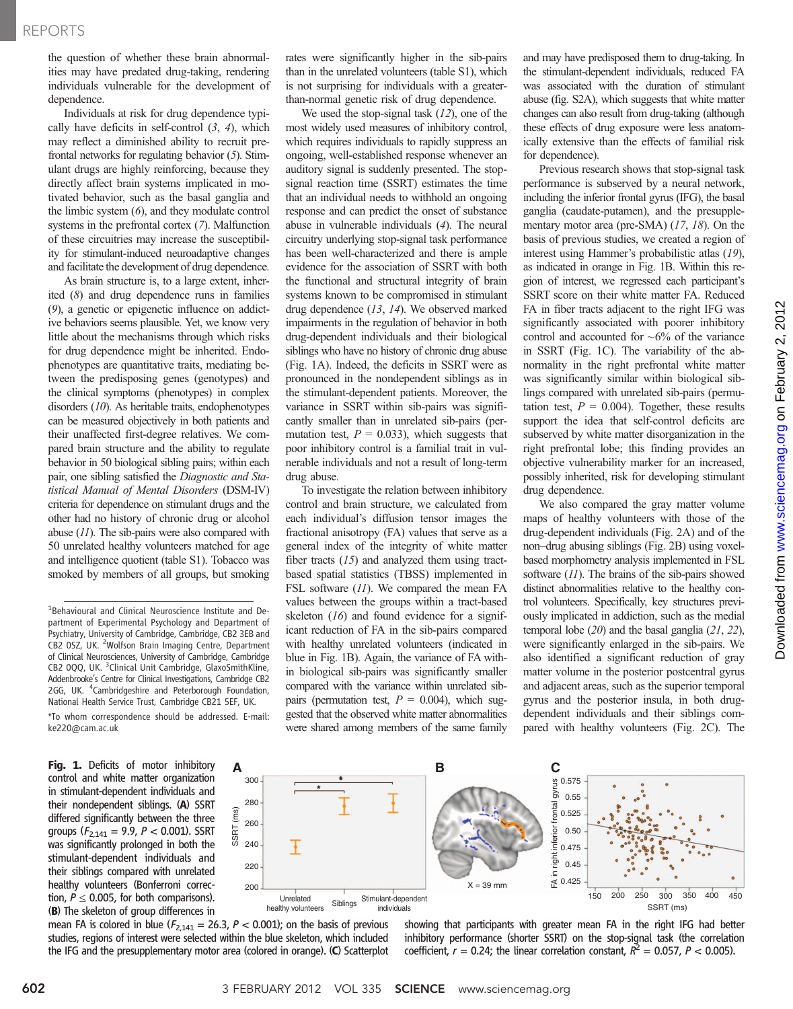the question of whether these brain abnormalities may have predated drug-taking, rendering individuals vulnerable for the development of dependence.

Individuals at risk for drug dependence typically have deficits in self-control  $(3, 4)$ , which may reflect a diminished ability to recruit prefrontal networks for regulating behavior (5). Stimulant drugs are highly reinforcing, because they directly affect brain systems implicated in motivated behavior, such as the basal ganglia and the limbic system  $(6)$ , and they modulate control systems in the prefrontal cortex (7). Malfunction of these circuitries may increase the susceptibility for stimulant-induced neuroadaptive changes and facilitate the development of drug dependence.

As brain structure is, to a large extent, inherited (8) and drug dependence runs in families (9), a genetic or epigenetic influence on addictive behaviors seems plausible. Yet, we know very little about the mechanisms through which risks for drug dependence might be inherited. Endophenotypes are quantitative traits, mediating between the predisposing genes (genotypes) and the clinical symptoms (phenotypes) in complex disorders (10). As heritable traits, endophenotypes can be measured objectively in both patients and their unaffected first-degree relatives. We compared brain structure and the ability to regulate behavior in 50 biological sibling pairs; within each pair, one sibling satisfied the Diagnostic and Statistical Manual of Mental Disorders (DSM-IV) criteria for dependence on stimulant drugs and the other had no history of chronic drug or alcohol abuse (11). The sib-pairs were also compared with 50 unrelated healthy volunteers matched for age and intelligence quotient (table S1). Tobacco was smoked by members of all groups, but smoking

\*To whom correspondence should be addressed. E-mail: ke220@cam.ac.uk

Fig. 1. Deficits of motor inhibitory control and white matter organization in stimulant-dependent individuals and their nondependent siblings. (A) SSRT differed significantly between the three groups ( $F_{2,141}$  = 9.9, P < 0.001). SSRT was significantly prolonged in both the stimulant-dependent individuals and their siblings compared with unrelated healthy volunteers (Bonferroni correction,  $P \leq 0.005$ , for both comparisons). (B) The skeleton of group differences in

mean FA is colored in blue ( $F_{2,141} = 26.3$ ,  $P < 0.001$ ); on the basis of previous studies, regions of interest were selected within the blue skeleton, which included the IFG and the presupplementary motor area (colored in orange). (C) Scatterplot

SSRT (ms)

SSRT (ms)

rates were significantly higher in the sib-pairs than in the unrelated volunteers (table S1), which is not surprising for individuals with a greaterthan-normal genetic risk of drug dependence.

We used the stop-signal task  $(12)$ , one of the most widely used measures of inhibitory control, which requires individuals to rapidly suppress an ongoing, well-established response whenever an auditory signal is suddenly presented. The stopsignal reaction time (SSRT) estimates the time that an individual needs to withhold an ongoing response and can predict the onset of substance abuse in vulnerable individuals (4). The neural circuitry underlying stop-signal task performance has been well-characterized and there is ample evidence for the association of SSRT with both the functional and structural integrity of brain systems known to be compromised in stimulant drug dependence (13, 14). We observed marked impairments in the regulation of behavior in both drug-dependent individuals and their biological siblings who have no history of chronic drug abuse (Fig. 1A). Indeed, the deficits in SSRT were as pronounced in the nondependent siblings as in the stimulant-dependent patients. Moreover, the variance in SSRT within sib-pairs was significantly smaller than in unrelated sib-pairs (permutation test,  $P = 0.033$ ), which suggests that poor inhibitory control is a familial trait in vulnerable individuals and not a result of long-term drug abuse.

To investigate the relation between inhibitory control and brain structure, we calculated from each individual's diffusion tensor images the fractional anisotropy (FA) values that serve as a general index of the integrity of white matter fiber tracts  $(15)$  and analyzed them using tractbased spatial statistics (TBSS) implemented in FSL software (11). We compared the mean FA values between the groups within a tract-based skeleton  $(16)$  and found evidence for a significant reduction of FA in the sib-pairs compared with healthy unrelated volunteers (indicated in blue in Fig. 1B). Again, the variance of FA within biological sib-pairs was significantly smaller compared with the variance within unrelated sibpairs (permutation test,  $P = 0.004$ ), which suggested that the observed white matter abnormalities were shared among members of the same family and may have predisposed them to drug-taking. In the stimulant-dependent individuals, reduced FA was associated with the duration of stimulant abuse (fig. S2A), which suggests that white matter changes can also result from drug-taking (although these effects of drug exposure were less anatomically extensive than the effects of familial risk for dependence).

Previous research shows that stop-signal task performance is subserved by a neural network, including the inferior frontal gyrus (IFG), the basal ganglia (caudate-putamen), and the presupplementary motor area (pre-SMA) (17, 18). On the basis of previous studies, we created a region of interest using Hammer's probabilistic atlas (19), as indicated in orange in Fig. 1B. Within this region of interest, we regressed each participant's SSRT score on their white matter FA. Reduced FA in fiber tracts adjacent to the right IFG was significantly associated with poorer inhibitory control and accounted for  $\sim 6\%$  of the variance in SSRT (Fig. 1C). The variability of the abnormality in the right prefrontal white matter was significantly similar within biological siblings compared with unrelated sib-pairs (permutation test,  $P = 0.004$ ). Together, these results support the idea that self-control deficits are subserved by white matter disorganization in the right prefrontal lobe; this finding provides an objective vulnerability marker for an increased, possibly inherited, risk for developing stimulant drug dependence.

We also compared the gray matter volume maps of healthy volunteers with those of the drug-dependent individuals (Fig. 2A) and of the non–drug abusing siblings (Fig. 2B) using voxelbased morphometry analysis implemented in FSL software (11). The brains of the sib-pairs showed distinct abnormalities relative to the healthy control volunteers. Specifically, key structures previously implicated in addiction, such as the medial temporal lobe  $(20)$  and the basal ganglia  $(21, 22)$ , were significantly enlarged in the sib-pairs. We also identified a significant reduction of gray matter volume in the posterior postcentral gyrus and adjacent areas, such as the superior temporal gyrus and the posterior insula, in both drugdependent individuals and their siblings compared with healthy volunteers (Fig. 2C). The



showing that participants with greater mean FA in the right IFG had better inhibitory performance (shorter SSRT) on the stop-signal task (the correlation coefficient,  $r = 0.24$ ; the linear correlation constant,  $R^2 = 0.057$ ,  $P < 0.005$ ).

<sup>&</sup>lt;sup>1</sup>Behavioural and Clinical Neuroscience Institute and Department of Experimental Psychology and Department of Psychiatry, University of Cambridge, Cambridge, CB2 3EB and CB2 0SZ, UK. <sup>2</sup>Wolfson Brain Imaging Centre, Department of Clinical Neurosciences, University of Cambridge, Cambridge CB2 0QQ, UK. <sup>3</sup>Clinical Unit Cambridge, GlaxoSmithKline, Addenbrooke's Centre for Clinical Investigations, Cambridge CB2 2GG, UK. <sup>4</sup>Cambridgeshire and Peterborough Foundation, National Health Service Trust, Cambridge CB21 5EF, UK.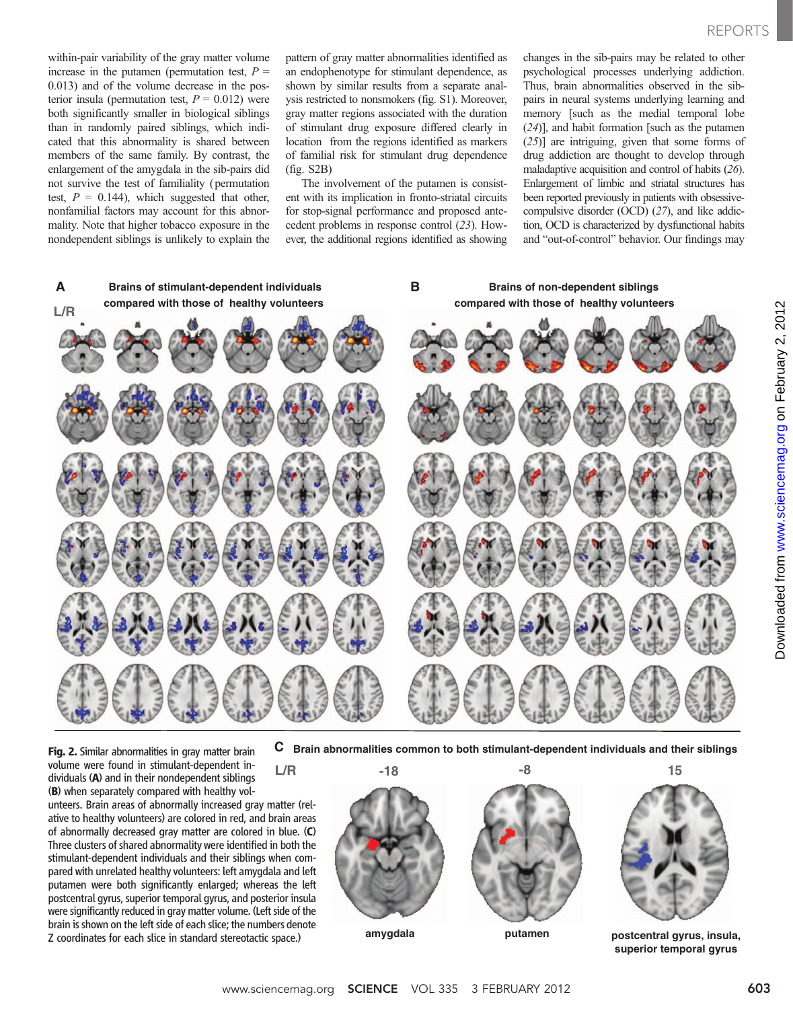within-pair variability of the gray matter volume increase in the putamen (permutation test,  $P =$ 0.013) and of the volume decrease in the posterior insula (permutation test,  $P = 0.012$ ) were both significantly smaller in biological siblings than in randomly paired siblings, which indicated that this abnormality is shared between members of the same family. By contrast, the enlargement of the amygdala in the sib-pairs did not survive the test of familiality (permutation test,  $P = 0.144$ ), which suggested that other, nonfamilial factors may account for this abnormality. Note that higher tobacco exposure in the nondependent siblings is unlikely to explain the

pattern of gray matter abnormalities identified as an endophenotype for stimulant dependence, as shown by similar results from a separate analysis restricted to nonsmokers (fig. S1). Moreover, gray matter regions associated with the duration of stimulant drug exposure differed clearly in location from the regions identified as markers of familial risk for stimulant drug dependence (fig. S2B)

The involvement of the putamen is consistent with its implication in fronto-striatal circuits for stop-signal performance and proposed antecedent problems in response control (23). However, the additional regions identified as showing changes in the sib-pairs may be related to other psychological processes underlying addiction. Thus, brain abnormalities observed in the sibpairs in neural systems underlying learning and memory [such as the medial temporal lobe (24)], and habit formation [such as the putamen (25)] are intriguing, given that some forms of drug addiction are thought to develop through maladaptive acquisition and control of habits (26). Enlargement of limbic and striatal structures has been reported previously in patients with obsessivecompulsive disorder (OCD) (27), and like addiction, OCD is characterized by dysfunctional habits and "out-of-control" behavior. Our findings may



Fig. 2. Similar abnormalities in gray matter brain volume were found in stimulant-dependent individuals (A) and in their nondependent siblings (B) when separately compared with healthy vol-

unteers. Brain areas of abnormally increased gray matter (relative to healthy volunteers) are colored in red, and brain areas of abnormally decreased gray matter are colored in blue. (C) Three clusters of shared abnormality were identified in both the stimulant-dependent individuals and their siblings when compared with unrelated healthy volunteers: left amygdala and left putamen were both significantly enlarged; whereas the left postcentral gyrus, superior temporal gyrus, and posterior insula were significantly reduced in gray matter volume. (Left side of the brain is shown on the left side of each slice; the numbers denote Z coordinates for each slice in standard stereotactic space.)

**L/R**

**C Brain abnormalities common to both stimulant-dependent individuals and their siblings**



**putamen postcentral gyrus, insula, superior temporal gyrus**